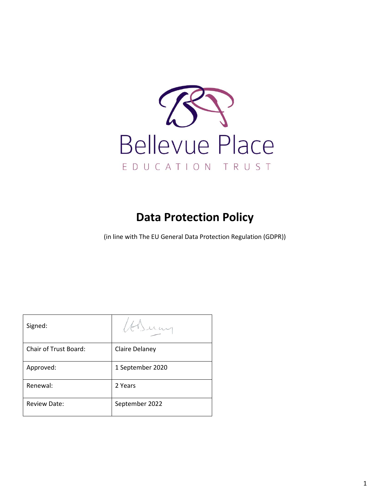

# **Data Protection Policy**

(in line with The EU General Data Protection Regulation (GDPR))

| Signed:               |                  |
|-----------------------|------------------|
| Chair of Trust Board: | Claire Delaney   |
| Approved:             | 1 September 2020 |
| Renewal:              | 2 Years          |
| <b>Review Date:</b>   | September 2022   |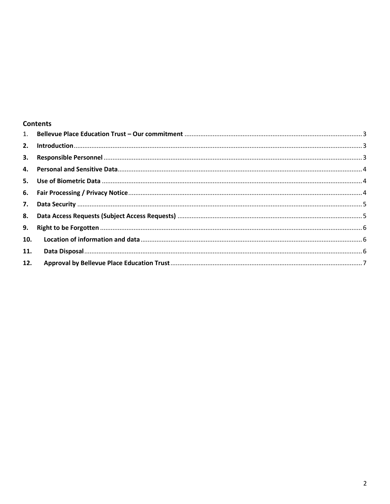## **Contents**

| 10. |  |
|-----|--|
| 11. |  |
|     |  |
|     |  |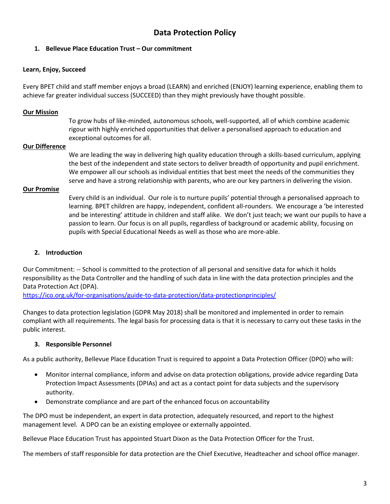## **Data Protection Policy**

## <span id="page-2-0"></span>**1. Bellevue Place Education Trust – Our commitment**

#### **Learn, Enjoy, Succeed**

Every BPET child and staff member enjoys a broad (LEARN) and enriched (ENJOY) learning experience, enabling them to achieve far greater individual success (SUCCEED) than they might previously have thought possible.

#### **Our Mission**

To grow hubs of like-minded, autonomous schools, well-supported, all of which combine academic rigour with highly enriched opportunities that deliver a personalised approach to education and exceptional outcomes for all.

#### **Our Difference**

We are leading the way in delivering high quality education through a skills-based curriculum, applying the best of the independent and state sectors to deliver breadth of opportunity and pupil enrichment. We empower all our schools as individual entities that best meet the needs of the communities they serve and have a strong relationship with parents, who are our key partners in delivering the vision.

#### **Our Promise**

Every child is an individual. Our role is to nurture pupils' potential through a personalised approach to learning. BPET children are happy, independent, confident all-rounders. We encourage a 'be interested and be interesting' attitude in children and staff alike. We don't just teach; we want our pupils to have a passion to learn. Our focus is on all pupils, regardless of background or academic ability, focusing on pupils with Special Educational Needs as well as those who are more-able.

#### <span id="page-2-1"></span>**2. Introduction**

Our Commitment: -- School is committed to the protection of all personal and sensitive data for which it holds responsibility as the Data Controller and the handling of such data in line with the data protection principles and the Data Protection Act (DPA).

<https://ico.org.uk/for-organisations/guide-to-data-protection/data-protectionprinciples/>

Changes to data protection legislation (GDPR May 2018) shall be monitored and implemented in order to remain compliant with all requirements. The legal basis for processing data is that it is necessary to carry out these tasks in the public interest.

#### <span id="page-2-2"></span>**3. Responsible Personnel**

As a public authority, Bellevue Place Education Trust is required to appoint a Data Protection Officer (DPO) who will:

- Monitor internal compliance, inform and advise on data protection obligations, provide advice regarding Data Protection Impact Assessments (DPIAs) and act as a contact point for data subjects and the supervisory authority.
- Demonstrate compliance and are part of the enhanced focus on accountability

The DPO must be independent, an expert in data protection, adequately resourced, and report to the highest management level. A DPO can be an existing employee or externally appointed.

Bellevue Place Education Trust has appointed Stuart Dixon as the Data Protection Officer for the Trust.

The members of staff responsible for data protection are the Chief Executive, Headteacher and school office manager.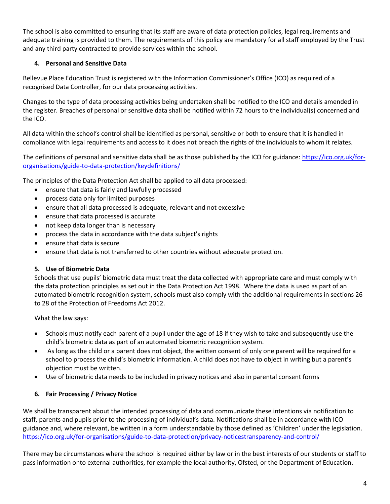The school is also committed to ensuring that its staff are aware of data protection policies, legal requirements and adequate training is provided to them. The requirements of this policy are mandatory for all staff employed by the Trust and any third party contracted to provide services within the school.

## <span id="page-3-0"></span>**4. Personal and Sensitive Data**

Bellevue Place Education Trust is registered with the Information Commissioner's Office (ICO) as required of a recognised Data Controller, for our data processing activities.

Changes to the type of data processing activities being undertaken shall be notified to the ICO and details amended in the register. Breaches of personal or sensitive data shall be notified within 72 hours to the individual(s) concerned and the ICO.

All data within the school's control shall be identified as personal, sensitive or both to ensure that it is handled in compliance with legal requirements and access to it does not breach the rights of the individuals to whom it relates.

The definitions of personal and sensitive data shall be as those published by the ICO for guidance: [https://ico.org.uk/for](https://ico.org.uk/for-organisations/guide-to-data-protection/keydefinitions/)[organisations/guide-to-data-protection/keydefinitions/](https://ico.org.uk/for-organisations/guide-to-data-protection/keydefinitions/)

The principles of the Data Protection Act shall be applied to all data processed:

- ensure that data is fairly and lawfully processed
- process data only for limited purposes
- ensure that all data processed is adequate, relevant and not excessive
- ensure that data processed is accurate
- not keep data longer than is necessary
- process the data in accordance with the data subject's rights
- ensure that data is secure
- ensure that data is not transferred to other countries without adequate protection.

## <span id="page-3-1"></span>**5. Use of Biometric Data**

Schools that use pupils' biometric data must treat the data collected with appropriate care and must comply with the data protection principles as set out in the Data Protection Act 1998. Where the data is used as part of an automated biometric recognition system, schools must also comply with the additional requirements in sections 26 to 28 of the Protection of Freedoms Act 2012.

What the law says:

- Schools must notify each parent of a pupil under the age of 18 if they wish to take and subsequently use the child's biometric data as part of an automated biometric recognition system.
- As long as the child or a parent does not object, the written consent of only one parent will be required for a school to process the child's biometric information. A child does not have to object in writing but a parent's objection must be written.
- Use of biometric data needs to be included in privacy notices and also in parental consent forms

## <span id="page-3-2"></span>**6. Fair Processing / Privacy Notice**

We shall be transparent about the intended processing of data and communicate these intentions via notification to staff, parents and pupils prior to the processing of individual's data. Notifications shall be in accordance with ICO guidance and, where relevant, be written in a form understandable by those defined as 'Children' under the legislation. <https://ico.org.uk/for-organisations/guide-to-data-protection/privacy-noticestransparency-and-control/>

There may be circumstances where the school is required either by law or in the best interests of our students or staff to pass information onto external authorities, for example the local authority, Ofsted, or the Department of Education.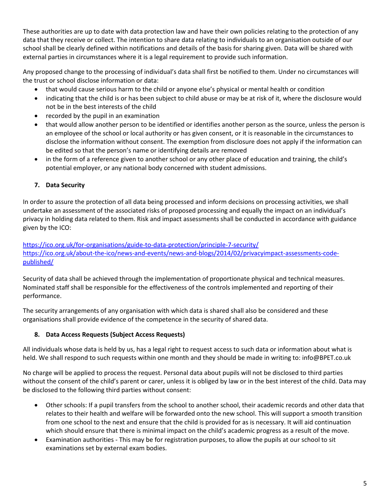These authorities are up to date with data protection law and have their own policies relating to the protection of any data that they receive or collect. The intention to share data relating to individuals to an organisation outside of our school shall be clearly defined within notifications and details of the basis for sharing given. Data will be shared with external parties in circumstances where it is a legal requirement to provide such information.

Any proposed change to the processing of individual's data shall first be notified to them. Under no circumstances will the trust or school disclose information or data:

- that would cause serious harm to the child or anyone else's physical or mental health or condition
- indicating that the child is or has been subject to child abuse or may be at risk of it, where the disclosure would not be in the best interests of the child
- recorded by the pupil in an examination
- that would allow another person to be identified or identifies another person as the source, unless the person is an employee of the school or local authority or has given consent, or it is reasonable in the circumstances to disclose the information without consent. The exemption from disclosure does not apply if the information can be edited so that the person's name or identifying details are removed
- in the form of a reference given to another school or any other place of education and training, the child's potential employer, or any national body concerned with student admissions.

## <span id="page-4-0"></span>**7. Data Security**

In order to assure the protection of all data being processed and inform decisions on processing activities, we shall undertake an assessment of the associated risks of proposed processing and equally the impact on an individual's privacy in holding data related to them. Risk and impact assessments shall be conducted in accordance with guidance given by the ICO:

<https://ico.org.uk/for-organisations/guide-to-data-protection/principle-7-security/> [https://ico.org.uk/about-the-ico/news-and-events/news-and-blogs/2014/02/privacyimpact-assessments-code](https://ico.org.uk/about-the-ico/news-and-events/news-and-blogs/2014/02/privacyimpact-assessments-code-published/)[published/](https://ico.org.uk/about-the-ico/news-and-events/news-and-blogs/2014/02/privacyimpact-assessments-code-published/)

Security of data shall be achieved through the implementation of proportionate physical and technical measures. Nominated staff shall be responsible for the effectiveness of the controls implemented and reporting of their performance.

The security arrangements of any organisation with which data is shared shall also be considered and these organisations shall provide evidence of the competence in the security of shared data.

## <span id="page-4-1"></span>**8. Data Access Requests (Subject Access Requests)**

All individuals whose data is held by us, has a legal right to request access to such data or information about what is held. We shall respond to such requests within one month and they should be made in writing to: info@BPET.co.uk

No charge will be applied to process the request. Personal data about pupils will not be disclosed to third parties without the consent of the child's parent or carer, unless it is obliged by law or in the best interest of the child. Data may be disclosed to the following third parties without consent:

- Other schools: If a pupil transfers from the school to another school, their academic records and other data that relates to their health and welfare will be forwarded onto the new school. This will support a smooth transition from one school to the next and ensure that the child is provided for as is necessary. It will aid continuation which should ensure that there is minimal impact on the child's academic progress as a result of the move.
- Examination authorities This may be for registration purposes, to allow the pupils at our school to sit examinations set by external exam bodies.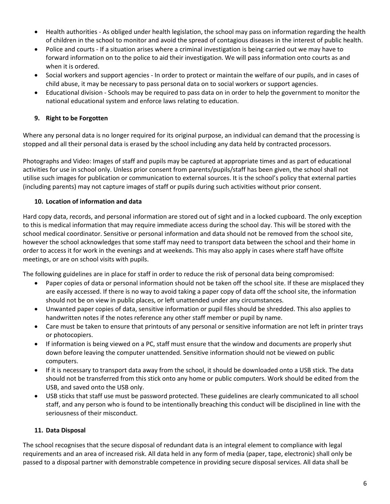- Health authorities As obliged under health legislation, the school may pass on information regarding the health of children in the school to monitor and avoid the spread of contagious diseases in the interest of public health.
- Police and courts If a situation arises where a criminal investigation is being carried out we may have to forward information on to the police to aid their investigation. We will pass information onto courts as and when it is ordered.
- Social workers and support agencies In order to protect or maintain the welfare of our pupils, and in cases of child abuse, it may be necessary to pass personal data on to social workers or support agencies.
- Educational division Schools may be required to pass data on in order to help the government to monitor the national educational system and enforce laws relating to education.

## <span id="page-5-0"></span>**9. Right to be Forgotten**

Where any personal data is no longer required for its original purpose, an individual can demand that the processing is stopped and all their personal data is erased by the school including any data held by contracted processors.

Photographs and Video: Images of staff and pupils may be captured at appropriate times and as part of educational activities for use in school only. Unless prior consent from parents/pupils/staff has been given, the school shall not utilise such images for publication or communication to external sources. It is the school's policy that external parties (including parents) may not capture images of staff or pupils during such activities without prior consent.

## <span id="page-5-1"></span>**10. Location of information and data**

Hard copy data, records, and personal information are stored out of sight and in a locked cupboard. The only exception to this is medical information that may require immediate access during the school day. This will be stored with the school medical coordinator. Sensitive or personal information and data should not be removed from the school site, however the school acknowledges that some staff may need to transport data between the school and their home in order to access it for work in the evenings and at weekends. This may also apply in cases where staff have offsite meetings, or are on school visits with pupils.

The following guidelines are in place for staff in order to reduce the risk of personal data being compromised:

- Paper copies of data or personal information should not be taken off the school site. If these are misplaced they are easily accessed. If there is no way to avoid taking a paper copy of data off the school site, the information should not be on view in public places, or left unattended under any circumstances.
- Unwanted paper copies of data, sensitive information or pupil files should be shredded. This also applies to handwritten notes if the notes reference any other staff member or pupil by name.
- Care must be taken to ensure that printouts of any personal or sensitive information are not left in printer trays or photocopiers.
- If information is being viewed on a PC, staff must ensure that the window and documents are properly shut down before leaving the computer unattended. Sensitive information should not be viewed on public computers.
- If it is necessary to transport data away from the school, it should be downloaded onto a USB stick. The data should not be transferred from this stick onto any home or public computers. Work should be edited from the USB, and saved onto the USB only.
- USB sticks that staff use must be password protected. These guidelines are clearly communicated to all school staff, and any person who is found to be intentionally breaching this conduct will be disciplined in line with the seriousness of their misconduct.

## <span id="page-5-2"></span>**11. Data Disposal**

The school recognises that the secure disposal of redundant data is an integral element to compliance with legal requirements and an area of increased risk. All data held in any form of media (paper, tape, electronic) shall only be passed to a disposal partner with demonstrable competence in providing secure disposal services. All data shall be